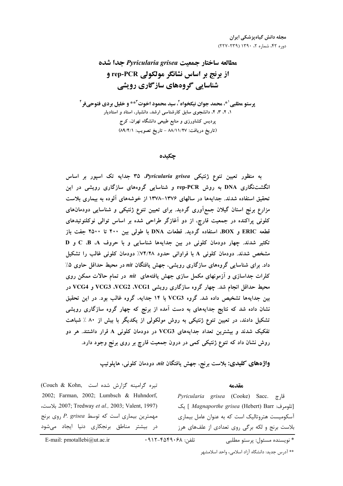# مطالعه ساختار جمعىت Pyricularia grisea جدا شده از برنج بر اساس نشانگر مولکولی rep-PCR و شناسایی گروههای سازگاری رویشی

**يوستو مطلبي ا\*، محمد جوان نيكخواه ً، سيد محمود اخوت ً\*\* و خليل بردي فتوحيفر ً** ۱، ۲، ۳، ۴، دانشجوی سابق کارشناسی ارشد، دانشیار، استاد و استادیار پردیس کشاورزی و منابع طبیعی دانشگاه تهران، کرج (تاريخ دريافت: ٨٨/١١/٢٧ - تاريخ تصويب: ٨٩/٤/١)

#### چکىدە

به منظور تعیین تنوع ژنتیکی Pyricularia grisea جدایه تک اسپور بر اساس انگشتنگاری DNA به روش rep-PCR و شناسایی گروههای سازگاری رویشی در این تحقیق استفاده شدند. جدایهها در سالهای ۱۳۷۶–۱۳۷۸ از خوشههای آلوده به بیماری بلاست مزارع برنج استان گیلان جمعآوری گردید. برای تعیین تنوع ژنتیکی و شناسایی دودمانهای کلونی پراکنده در جمعیت قارچ، از دو آغازگر طراحی شده بر اساس توالی نوکلئوتیدهای قطعه ERIC و BOX، استفاده گردید. قطعات DNA با طولی بین ۴۰۰ تا ۲۵۰۰ جفت باز تکثیر شدند. چهار دودمان کلونی در بین جدایهها شناسایی و با حروف C ،B ،A و D مشخص شدند. دودمان کلونی A با فراوانی حدود ۷۴/۲۸٪ دودمان کلونی غالب را تشکیل داد. برای شناسایی گروههای سازگاری رویشی، جهش یافتگان nit در محیط حداقل حاوی ۵٪ کلرات جداسازی و آزمونهای مکمل سازی جهش یافتههای nit در تمام حالات ممکن روی محیط حداقل انجام شد. چهار گروه سازگاری رویشی VCG3 ،VCG2 ،VCG1 و VCG4 در بین جدایهها تشخیص داده شد. گروه VCG3 با ۱۴ جدایه، گروه غالب بود. در این تحقیق نشان داده شد که نتایج جدایههای به دست آمده از برنج که چهار گروه سازگاری رویشی تشکیل دادند، در تعیین تنوع ژنتیکی به روش مولکولی از یکدیگر با بیش از ۸۰ ٪ شباهت تفکیک شدند و بیشترین تعداد جدایههای VCG3 در دودمان کلونی A قرار داشتند. هر دو روش نشان داد که تنوع ژنتیکی کمی در درون جمعیت قارچ بر روی برنج وجود دارد.

واژههای کلیدی: بلاست برنج، جهش یافتگان nit. دودمان کلونی، هایلوتیپ

تيره گرامينه گزارش شده است .(Couch & Kohn 2002; Farman, 2002; Lumbsch & Huhndorf, 2007; Tredway et al., 2003; Valent, 1997). بلاست، مهمترین بیماری است که توسط P. grisea روی برنج در بیشتر مناطق برنجکاری دنیا ایجاد میشود

قارچ .Sacc (Cooke) Bacc قارچ [تلومرف: Magnaporthe grisea (Hebert) Barr ] يك آسکومیست هتروتالیک است که به عنوان عامل بیماری بلاست برنج و لکه برگی روی تعدادی از علفهای هرز

مقدمه

\* نويسنده مسئول: پرستو مطلبي

تلفن: ۴۵۴۹۰۶۸-۹۱۲-۴۵۴۰

E-mail: pmotallebi@ut.ac.ir

\*\* آدرس جديد: دانشگاه آزاد اسلامي، واحد اسلامشهر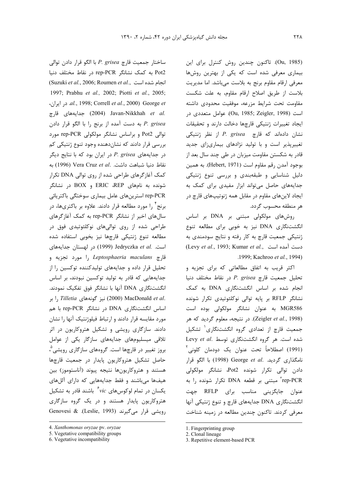(Ou, 1985). تاكنون چندين روش كنترل براي اين بیماری معرفی شده است که یکی از بهترین روشها معرفی ارقام مقاوم برنج به بلاست میباشد. اما مدیریت بلاست از طريق اصلاح ارقام مقاوم، به علت شكست مقاومت تحت شرايط مزرعه، موفقيت محدودي داشته است (Ou, 1985; Zeigler, 1998). عوامل متعددي در ايجاد تغييرات ژنتيكي قارچها دخالت دارند و تحقيقات نشان دادهاند که قارچ P. grisea از نظر ژنتیکی تغییرپذیر است و با تولید نژادهای بیماریزای جدید قادر به شکستن مقاومت میزبان در طی چند سال بعد از بوجود آمدن رقم مقاوم است (Hebert, 1971). به همين دلیل شناسایی و طبقهبندی و بررسی تنوع ژنتیکی جدایههای حاصل می تواند ابزار مفیدی برای کمک به ایجاد لاینهای مقاوم در مقابل همه ژنوتیپهای قارچ در هر منطقه محسوب گردد.

روشهای مولکولی مبتنی بر DNA بر اساس انگشتنگاری DNA نیز به خوبی برای مطالعه تنوع ژنتیکی جمعیت قارچ به کار رفته و نتایج سودمندی به (Levy et al., 1993; Kumar et al., دست آمده است .1999; Kachroo et al., 1994)

اکثر قریب به اتفاق مطالعاتی که برای تجزیه و تحليل جمعيت قارچ P. grisea در نقاط مختلف دنيا انجام شده بر اساس انگشتنگاری DNA به کمک نشانگر RFLP بر پایه توالی نوکلئوتیدی تکرار شونده MGR586 به عنوان نشانگر مولکولی بوده است (Zeigler et al., 1998). در نتيجه، معلوم گرديد كه هر جمعیت قارچ از تعدادی گروه انگشتنگاری<sup>(</sup> تشکیل Levy et al. شده است. هر گروه انگشتنگاری توسط (1991) اصطلاحاً تحت عنوان يک دودمان کلوني ٰ نامگذاری گردید. George et al. (1998) با الگو قرار دادن توالی تکرار شونده Pot2، نشانگر مولکولی rep-PCR" مبتنی بر قطعه DNA تکرار شونده را به عنوان جايگزيني مناسب براي RFLP جهت انگشتنگاری DNA جدایههای قارچ و تنوع ژنتیکی آنها معرفی کردند. تاکنون چندین مطالعه در زمینه شناخت

ساختار جمعیت قارچ P. grisea با الگو قرار دادن توالی Pot2 به کمک نشانگر rep-PCR در نقاط مختلف دنیا (Suzuki et al., 2006; Roumen et al., انجام شده است 1997; Prabhu et al., 2002; Piotti et al., 2005; .correll et al., 2000) George et ه در ايران، al., 1998; Correll et al., 2000) .Javan-Nikkhah et al (2004) جدايههای قارچ به دست آمده از برنج را با الگو قرار دادن P. grisea توالی Pot2 و براساس نشانگر مولکولی rep-PCR مورد بررسی قرار دادند که نشاندهنده وجود تنوع ژنتیکی کم در جدایههای P. grisea در ایران بود که با نتایج دیگر نقاط دنيا شباهت داشت. Vera Cruz et al. به کمک آغازگرهای طراحی شده از روی توالی DNA تکرار شونده به نامهای ERIC ،REP و BOX در نشانگر rep-PCR استرینهای عامل بیماری سوختگی باکتریائی برنج ً را مورد مطالعه قرار دادند. علاوه بر باکتریها، در سال های اخیر از نشانگر rep-PCR به کمک آغازگرهای طراحی شده از روی توالیهای نوکلئوتیدی فوق در مطالعه تنوع ژنتيكى قارچها نيز بخوبى استفاده شده است. .Jedryczka et al (1999) در لهستان جدايههاى قارچ *Leptosphaeria maculans ,*ا مورد تجزیه و تحلیل قرار داده و جدایههای تولیدکننده توکسین را از جدایههایی که قادر به تولید توکسین نبودند، بر اساس انگشتنگاری DNA آنها با نشانگر فوق تفکیک نمودند. , Tilletia زا بر (2000) نيز گونههای Tilletia را بر اساس انگشتنگاری DNA در نشانگر rep-PCR با هم مورد مقایسه قرار دادند و ارتباط فیلوژنتیک آنها را نشان دادند. سازگاری رویشی و تشکیل هتروکاریون در اثر تلاقی میسلیومهای جدایههای سازگار یکی از عوامل بروز تغییر در قارچها است. گروههای سازگاری رویشی ؓ، حاصل تشكيل هتروكاريون پايدار در جمعيت قارچها هستند و هتروکاریونها نتیجه پیوند (آناستوموز) بین هیفها میباشند و فقط جدایههایی که دارای آللهای یکسان در تمام لوکوسهای vic<sup>۶</sup> باشند قادر به تشکیل هتروکاریون پایدار هستند و در یک گروه سازگاری Genovesi & (Leslie, 1993). & Genovesi

<sup>4.</sup> Xanthomonas oryzae pv. oryzae

<sup>5.</sup> Vegetative compatibility groups

<sup>6.</sup> Vegetative incompatibility

<sup>1.</sup> Fingerprinting group 2. Clonal lineage

<sup>3.</sup> Repetitive element-based PCR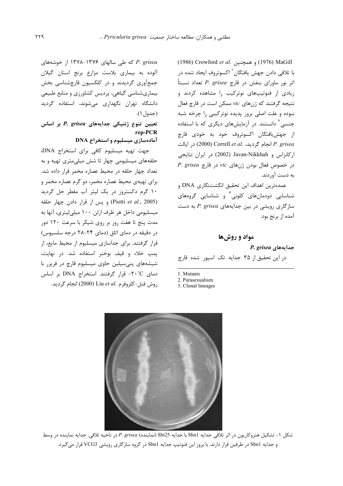(1976) (1986) و همچنین Crowford et al. با تلاقی دادن جهش یافتگان<sup>٬</sup> اکسوتروف ایجاد شده در اثر نور ماورای بنفش در قارچ P. grisea تعداد نسبتاً زیادی از فنوتیپهای نوترکیب را مشاهده کردند و نتیجه گرفتند که ژنهای vic ممکن است در قارچ فعال نبوده و علت اصلی بروز پدیده نوترکیبی را چرخه شبه جنسی<sup>۲</sup> دانستند. در آزمایشهای دیگری که با استفاده از جهش یافتگان اکسوتروف خود به خودی قارچ P. grisea انجام گرديد، Correll et al. انجام گرديد، Correll et al. ا, كانزاس و Javan-Nikkhah (2002) در ايران نتايجي P. grisea و vic در خصوص فعال بودن ژنهای vic در قارچ به دست آوردند.

عمدهترين اهداف اين تحقيق انكشتنگارى DNA و شناسایی دودمانهای کلونی<sup>۳</sup> و شناسایی گروههای سازگاری رویشی در بین جدایههای P. grisea به دست آمده از برنج بود.

#### مواد و روشها

P. grisea جدایههای

در این تحقیق از ۳۵ جدایه تک اسپور شده قارچ

1. Mutants

2. Parasexualism

3. Clonal lineages

شكل ١- تشكيل هتروكاريون در اثر تلاقى جدايه Shn1 با جدايه Sht25 (نماينده) P. grisea در ناحيه تلاقى. جدايه نماينده در وسط و جدایه Shn1 در طرفین قرار دارند. با بروز این فنوتیپ جدایه Shn1 در گروه سازگاری رویشی VCG3 قرار میگیرد.

P. grisea که طی سالهای ۱۳۷۶-۱۳۷۸ از خوشههای آلوده به بیماری بلاست مزارع برنج استان گیلان جمعآوری گردیدند و در کلکسیون قارچشناسی بخش بیماریشناسی گیاهی، پردیس کشاورزی و منابع طبیعی دانشگاه تهران نگهداری میشوند، استفاده گردید (جدول ۱).

تعیین تنوع ژنتیکی جدایههای P. grisea بر اساس rep-PCR آمادهسازی میسلیوم و استخراج DNA

جهت تهيه ميسليوم كافى براى استخراج DNA، حلقههای میسلیومی چهار تا شش میلیمتری تهیه و به تعداد چهار حلقه در محیط عصاره مخمر قرار داده شد. برای تهیهی محیط عصاره مخمر، دو گرم عصاره مخمر و ۱۰ گرم دکستروز در یک لیتر آب مقطر حل گردید (Piotti et al., 2005) و يس از قرار دادن چهار حلقه میسلیومی داخل هر ظرف ارلن ۱۰۰ میلی لیتری، آنها به مدت پنج تا هفت روز بر روی شیکر با سرعت ۱۲۰ دور در دقیقه در دمای اتاق (دمای ۲۴-۲۸ درجه سلسیوس) قرار گرفتند. برای جداسازی میسلیوم از محیط مایع، از پمپ خلاء و قيف بوخنر استفاده شد. در نهايت، شیشههای پنیسیلین حاوی میسلیوم قارچ در فریزر با دمای ٢٠°C- قرار گرفتند. استخراج DNA بر اساس , وش فنل-كلروفرم .Liu et al (2000) انجام گرديد.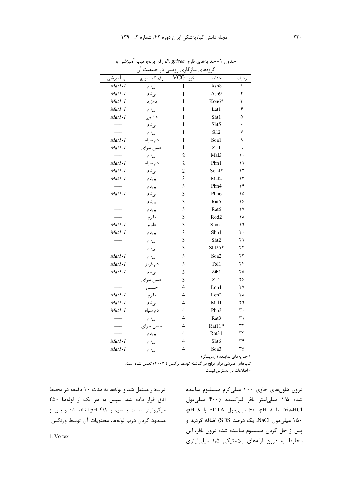| گروههای سازگاری رویشی<br>جمعیت ان<br>در |               |                         |                  |      |  |
|-----------------------------------------|---------------|-------------------------|------------------|------|--|
| تیپ آمیزشی                              | رقم گياه برنج | گروه VCG                | جدايه            | رديف |  |
| $Matl-1$                                | بىنام         | $\mathbf{1}$            | Ash8             | ١    |  |
| $Matl-1$                                | بىنام         | $\mathbf{1}$            | Ash9             | ٢    |  |
| Matl-1                                  | دمزرد         | 1                       | Kon6*            | ٣    |  |
| $Matl-1$                                | بىنام         | 1                       | Lat1             | ۴    |  |
| Matl-1                                  | هاشمى         | 1                       | Sht1             | ۵    |  |
|                                         | بىنام         | 1                       | Sht5             | ۶    |  |
|                                         | بىنام         | $\mathbf{1}$            | Sil <sub>2</sub> | ٧    |  |
| $Matl-1$                                | دم سياه       | $\mathbf{1}$            | Soa1             | ٨    |  |
| Mat1-1                                  | حسن سراى      | $\mathbf{1}$            | Zir1             | ٩    |  |
|                                         | بىنام         | $\overline{c}$          | Mal3             | ۱۰   |  |
| Matl-1                                  | دم سياه       | $\overline{c}$          | Phn1             | ۱۱   |  |
| Mat1-1                                  | بىنام         | $\overline{2}$          | Soa4*            | ۱۲   |  |
| Mat1-1                                  | بىنام         | 3                       | Mal2             | ۱۳   |  |
|                                         | بىنام         | 3                       | Phn4             | ۱۴   |  |
| Mat1-1                                  | بىنام         | 3                       | Phn6             | ۱۵   |  |
|                                         | بىنام         | 3                       | Rat5             | ۱۶   |  |
|                                         | بىنام         | 3                       | Rat6             | ۱۷   |  |
|                                         | طارم          | 3                       | Rod <sub>2</sub> | ۱۸   |  |
| Mat1-1                                  | طارم          | 3                       | Shm1             | ۱۹   |  |
| Mat1-1                                  | بىنام         | 3                       | Shn1             | ٢٠   |  |
|                                         | بىنام         | 3                       | Sht2             | ۲۱   |  |
|                                         | بىنام         | 3                       | Sht25*           | ۲۲   |  |
| Mat1-1                                  | بىنام         | 3                       | Soa2             | ۲۳   |  |
| $Matl-1$                                | دم قرمز       | 3                       | Tol1             | ۲۴   |  |
| $Matl-1$                                | بىنام         | 3                       | Zib1             | ۲۵   |  |
|                                         | حسن سراى      | 3                       | Zir2             | ۲۶   |  |
|                                         | حسنى          | 4                       | Lon1             | ۲۷   |  |
| $Matl-1$                                | طارم          | 4                       | Lon2             | ٢٨   |  |
| $Matl-1$                                | بىنام         | 4                       | Mal1             | ۲۹   |  |
| $Matl-1$                                | دم سياه       | $\overline{\mathbf{4}}$ | Phn3             | ٣٠   |  |
|                                         | بىنام         | $\overline{4}$          | Rat3             | ۳۱   |  |
|                                         | حسن سراي      | 4                       | Rat11*           | ٣٢   |  |
|                                         | بىنام         | 4                       | Rat31            | ٣٣   |  |
| Mat1-1                                  | بىنام         | $\overline{\mathbf{4}}$ | Sht6             | ٣۴   |  |
| Mat1-1                                  | بىنام         | $\overline{4}$          | Soa3             | ٣۵   |  |

جدول ۱- جدایههای قارچ *P. grisea، ج*سپ آمیزشی و

\* جدایههای نماینده (آزمایشگر)

تیپهای آمیزشی برای برنج در گذشته توسط برگنیل ( ۲۰۰۷) تعیین شده است.

- اطلاعات در دسترس نیست.

دربدار منتقل شد و لولهها به مدت ۱۰ دقیقه در محیط اتاق قرار داده شد. سپس به هر یک از لولهها ۲۵۰ میکرولیتر استات پتاسیم با pH ۴/۸ اضافه شد و پس از مسدود كردن درب لولهها، محتويات آن توسط ورتكس ٰ

درون هاونهای حاوی ۲۰۰ میلیگرم میسلیوم ساییده شده ۱/۵ میلی لیتر بافر لیزکننده (۴۰۰ میلی مول pH 8 : EDTA 2 60 pH 8 : Tris-HCl ۱۵۰ میل<sub>ک</sub>مول NaCl، یک درصد SDS) اضافه گردید و پس از حل کردن میسلیوم ساییده شده درون بافر، این مخلوط به درون لولههای پلاستیکی ۱/۵ میلیلیتری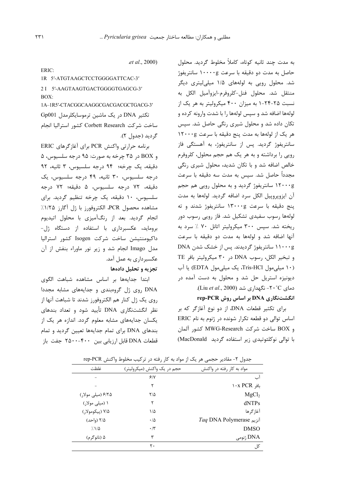به مدت چند ثانیه کوتاه، کاملاً مخلوط گردید. محلول حاصل به مدت دو دقیقه با سرعت ۱۰۰۰۰g سانتریفوژ شد. محلول رویی به لولههای ۱/۵ میلی لیتری دیگر منتقل شد. محلول فنل-كلروفرم-ايزوآميل الكل به نسبت ۲۵-۲۴-۱ به میزان ۴۰۰ میکرولیتر به هر یک از لولهها اضافه شد و سپس لولهها را با شدت وارونه کرده و تکان داده شد و محلول شیری رنگی حاصل شد. سپس هر یک از لولهها به مدت پنج دقیقه با سرعت ۱۲۰۰۰g سانتریفوژ گردید. پس از سانتریفوژ، به آهستگی فاز رویی را برداشته و به هر یک هم حجم محلول، کلروفرم خالص اضافه شد و با تکان شدید، محلول شیری رنگی مجدداً حاصل شد. سیس به مدت سه دقیقه با سرعت ۱۲۰۰۰g سانتریفوژ گردید و به محلول رویی هم حجم آن ایزوپروپیل الکل سرد اضافه گردید. لولهها به مدت ينج دقيقه با سرعت ١٣٠٠٠g سانتريفوژ شدند و ته لولهها رسوب سفیدی تشکیل شد. فاز رویی رسوب دور ریخته شد. سپس ۳۰۰ میکرولیتر اتانل ۷۰ ٪ سرد به آنها اضافه شد و لولهها به مدت دو دقیقه با سرعت ۱۱۰۰۰g سانتریفوژ گردیدند. پس از خشک شدن DNA و تبخير الكل، رسوب DNA در ٣٠ ميكروليتر بافر TE (۱۰ میلیمول Tris-HCl، یک میلیمول EDTA) یا آب دیونیزه استریل حل شد و محلول به دست آمده در دمای ٢٠°C- نگهداری شد (Liu et al., 2000). rep-PCR بر اساس روش rep-PCR

برای تکثیر قطعات DNA، از دو نوع آغازگر که بر اساس توالی دو قطعه تکرار شونده در ژنوم به نام ERIC و BOX ساخت شركت MWG-Research كشور آلمان با توالی نوکلئوتیدی زیر استفاده گردید MacDonald)

| ERIC: |                                 |
|-------|---------------------------------|
|       | 1R 5'-ATGTAAGCTCCTGGGGATTCAC-3' |

 $.et al., 2000)$ 

2 I 5'-AAGTAAGTGACTGGGGTGAGCG-3'  $BOX:$ 

1A-1R5'-CTACGGCAAGGCGACGACGCTGACG-3' تکثیر DNA در یک ماشین ترموسایکلرمدل Gp001 ساخت شركت Corbett Research كشور استراليا انجام گردید (جدول ۲).

برنامه حرارتی واکنش PCR برای آغازگرهای ERIC و BOX در ۳۵ چرخه به صورت: ۹۵ درجه سلسیوس، ۵ دقيقه، يک چرخه؛ ۹۴ درجه سلسيوس، ۳ ثانيه، ۹۲ درجه سلسیوس، ۳۰ ثانیه، ۴۹ درجه سلسیوس، یک دقيقه، ٧٢ درجه سلسيوس، ۵ دقيقه؛ ٧٢ درجه سلسیوس، ١٠ دقیقه، یک چرخه تنظیم گردید. برای مشاهده محصول PCR، الكتروفورز با ژل آگارز ۱/۲۵٪ انجام گردید. بعد از رنگآمیزی با محلول اتیدیوم بروماید، عکسبرداری با استفاده از دستگاه ژل-داكيومنتيشن ساخت شركت Isogen كشور استراليا مدل Imago انجام شد و زير نور ماوراء بنفش از آن عکسبرداری به عمل آمد.

تجزیه و تحلیل دادهها

ابتدا جدایهها بر اساس مشاهده شباهت الگوی DNA روی ژل گروهبندی و جدایههای مشابه مجددا روي يک ژل کنار هم الکتروفورز شدند تا شباهت آنها از نظر انگشتنگاری DNA تأیید شود و تعداد بندهای یکسان جدایههای مشابه معلوم گردد. اندازه هر یک از بندهای DNA برای تمام جدایهها تعیین گردید و تمام قطعات DNA قابل ارزيابي بين ۴۰۰-۲۵۰۰ جفت باز

| جمہور ، ،                 | - هغانایز حجمی هر یک از هوانا به حاز رفته در تر نیب هجنوط وابنس ۲۰۲۰-۲۰ |                   |
|---------------------------|-------------------------------------------------------------------------|-------------------|
| مواد به کار رفته در واکنش | حجم در يک واکنش (ميکروليتر)                                             | غلظت              |
| آب                        | 9/1                                                                     |                   |
| بافر Y · x PCR            | ٢                                                                       |                   |
| MgCl <sub>2</sub>         | $7/\Delta$                                                              | ۶/۲۵ (میلی مولار) |
| dNTPs                     | ٢                                                                       | ۱ (میلی مولار)    |
| آغاز گرها                 | ۱۵                                                                      | ۷/۵ (پیکومولار)   |
| Taq DNA Polymerase آنزیم  | $\cdot/\Delta$                                                          | ۲/۵ (واحد)        |
| <b>DMSO</b>               | $\cdot$ /٣                                                              | 710               |
| نومى DNA ژنومى            | ٣                                                                       | ۵ (نانوگرم)       |
| کل                        | ٢٠                                                                      |                   |

حدہ) \_7- مقادر، حجم \_ھ. رک از مواد بھ کا. ،فته د. ترکیب مخامط ماکنش ren-PCR

 $FRIC$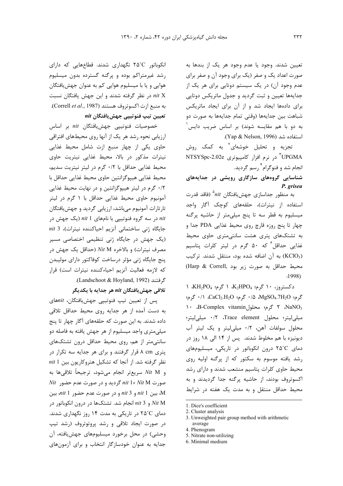تعیین شدند. وجود یا عدم وجود هر یک از بندها به صورت اعداد یک و صفر (یک برای وجود آن و صفر برای عدم وجود آن) در یک سیستم دوتایی برای هر یک از جدایهها تعیین و ثبت گردید و جدول ماتریکس دوتایی برای دادهها ایجاد شد و از آن برای ایجاد ماتریکس شباهت بين جدايهها (وقتى تمام جدايهها به صورت دو به دو با هم مقایسه شوند) بر اساس ضریب دایس<sup>'</sup> استفاده شد (Yap & Nelson, 1996).

تجزیه و تحلیل خوشهای<sup>۲</sup> به کمک روش UPGMA<sup>"</sup> د<sub>ر</sub> نرم افزار کامپیوتری NTSYSpc-2.02e انجام شد و فنوگرام<sup>۴</sup> رسم گردید.

شناسایی گروههای سازگاری رویشی در جدایههای P. grisea

به منظور جداسازی جهش یافتگان nit° (فاقد قدرت استفاده از نیترات)، حلقههای کوچک آگار واجد میسلیوم به قطر سه تا پنج میلی متر از حاشیه پرگنه چهار تا پنج روزه قارچ روی محیط غذایی PDA جدا و به تشتکهای پتری هشت سانتی متری حاوی محیط غذایی حداقل ۶ ۵۰ گرم در لیتر کلرات پتاسیم (KClO3) به آن اضافه شده بود، منتقل شدند. تركيب محيط حداقل به صورت زير بود (Harp & Correll)  $:1998$ 

دکستروز، ۱۰ گرم؛ K<sub>2</sub>HPO4، ۱ گرم؛ KH<sub>2</sub>PO<sub>4</sub>، ۱ گرم؛ MgSO4.7H<sub>2</sub>O، ۵/۰ گرم؛ CaCl<sub>2</sub>.H<sub>2</sub>O، ۱/۰ گرم؛ NaNO<sub>3</sub> ۲ گرم؛ محلولB-Complex vitamin، ۲ گرم؛ محلول ميلي ليتر؛ محلول Trace element، ١٢٠ ميلي ليتر؛ محلول سولفات آهن، ٠/٢ ميلي ليتر ويك ليتر آب دیونیزه با هم مخلوط شدند. پس از ۱۴ الی ۱۸ روز در دمای ۲۵°C درون انکوباتور در تاریکی، میسلیومهای رشد یافته موسوم به سکتور که از پرگنه اولیه روی محیط حاوی کلرات پتاسیم منشعب شدند و دارای رشد اکسوتروف بودند، از حاشیه پرگنه جدا گردیدند و به محیط حداقل منتقل و به مدت یک هفته در شرایط

- 1. Dice's coefficient
- 2. Cluster analysis
- 3. Unweighted pair group method with arithmetic average
- 4. Phenogram
- 5. Nitrate non-utilizing
- 6. Minimal medium

انکوباتور ۲۵°C نگهداری شدند. قطاعهایی که دارای رشد غیرمتراکم بوده و پرگنه گسترده بدون میسلیوم هوايي و يا با ميسليوم هوايي كم به عنوان جهش بافتگان در نظر گرفته شدند و این جهش یافتگان نسبت  $nit X$ به منبع ازت اكسوتروف هستند (Correll et al., 1987). تعيين تيپ فنوتيپي جهش بافتگان nit

خصوصيات فنوتيپي جهشيافتگان nit بر اساس ارزیابی نحوه رشد هر یک از آنها روی محیطهای افتراقی حاوی یکی از چهار منبع ازت شامل محیط غذایی نیترات مذکور در بالا، محیط غذایی نیتریت حاوی محيط غذايي حداقل با ٠/٢ گرم در ليتر نيتريت سديم، محيط غذايي هيپوگزانتين حاوي محيط غذايي حداقل با ۰/۲ گرم در لیتر هیپوگزانتین و در نهایت محیط غذایی آمونیوم حاوی محیط غذایی حداقل با ۱ گرم در لیتر تارتارات آمونیوم می باشد، ارزیابی گردید و جهش یافتگان در سه گروه فنوتییی با نامهای 1 nit (یک جهش در  $nit$ جایگاه ژنی ساختمانی آنزیم احیاکننده نیترات)، 3 nit (یک جهش در جایگاه ژنی تنظیمی اختصاصی مسیر مصرف نیترات) و بالاخره Nit M (حداقل یک جهش در پنج جایگاه ژنی مؤثر درساخت کوفاکتور دارای مولیبدن كه لازمه فعاليت آنزيم احياءكننده نيترات است) قرار گرفتند (Landschoot & Hoyland, 1992).

#### تلاقی جهش بافتگان nit هر جدایه با یکدیگر

یس از تعیین تیپ فنوتییی جهشیافتگان، nitهای به دست آمده از هر جدایه روی محیط حداقل تلاقی داده شدند. به این صورت که حلقههای آگار چهار تا پنج میلی متری واجد میسلیوم از هر جهش یافته به فاصله دو سانتے متر از هم، روی محیط حداقل درون تشتکهای یتری A cm قرار گرفتند و برای هر جدایه سه تکرار در نظر گرفته شد. از آنجا که تشکیل هتروکاریون بین 1 nit و Nit M سريعتر انجام مي شود، ترجيحاً تلاقي ها به  $Nit$  صورت nit 1× Nit M گردید و در صورت عدم حضور سين 1 nit و 3 nit و در صورت عدم حضور 1 nit. بين M و 13 mit 3 انجام شد. تشتکها در درون انکوباتور در Ait M دمای ۲۵°C در تاریکی به مدت ۱۴ روز نگهداری شدند. در صورت ایجاد تلاقی و رشد پروتوتروف (رشد تیپ وحشی) در محل برخورد میسلیومهای جهش یافته، آن جدایه به عنوان خودسازگار انتخاب و برای آزمونهای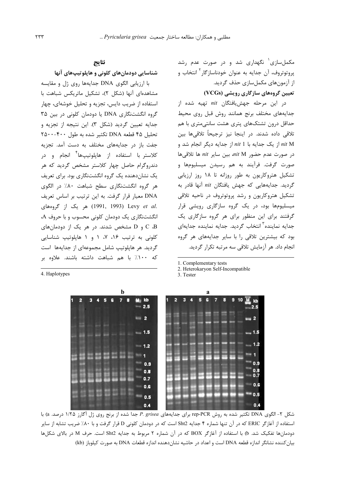مکمل سازی<sup>۱</sup> نگهداری شد و در صورت عدم رشد پروتوتروف، آن جدایه به عنوان خودناسازگار<sup>۲</sup> انتخاب و از آزمونهای مکمل سازی حذف گردید.

### تعیین گروههای سازگاری رویشی (VCGs)

در این مرحله جهشیافتگان nit تهیه شده از جدایههای مختلف برنج همانند روش قبل روی محیط حداقل درون تشتکهای پتری هشت سانتی متری با هم تلاقی داده شدند. در اینجا نیز ترجیحاً تلاقیها بین nit M از یک جدایه با nit 1 از جدایه دیگر انجام شد و  $i$ در صورت عدم حضور nit M بين ساير nit ها تلاقى ها صورت گرفت. فرأيند به هم رسيدن ميسليومها و تشکیل هتروکاریون به طور روزانه تا ۱۸ روز ارزیابی گردید. جدایههایی که جهش یافتگان nit آنها قادر به تشکیل هتروکاریون و رشد پروتوتروف در ناحیه تلاقی میسلیومها بود، در یک گروه سازگاری رویشی قرار گرفتند برای این منظور برای هر گروه سازگاری یک جدایه نماینده<sup>۳</sup> انتخاب گردید. جدایه نماینده جدایهای بود که بیشترین تلاقی را با سایر جدایههای هر گروه انجام داد. هر آزمایش تلاقی سه مرتبه تکرار گردید.

1. Complementary tests

2. Heterokaryon Self-Incompatible

3 Tester



 $C$  ،  $D$  و  $D$  مشخص شدند. در هر یک از دودمانهای  $C$  ،  $B$ کلونی به ترتیب ۱۶، ۷، ۱ و ۱ هاپلوتیپ شناسایی گردید. هر هایلوتیپ شامل مجموعهای از جدایهها است که ۱۰۰٪ با هم شباهت داشته باشند. علاوه بر

4. Haplotypes



شکل ۲- الگوی DNA تکثیر شده به روش rep-PCR برای جدایههای P. grisea جدا شده از برنج روی ژل آگارز ۱/۲۵ درصد. a) با استفاده از آغازگر ERIC که در آن تنها شماره ۴ جدایه Sht2 است که در دودمان کلونی D قرار گرفت و با ۸۰٪ ضریب تشابه از سایر دودمانها تفكيك شد. b) با استفاده از آغازگر BOX كه در آن شماره ۲ مربوط به جدايه Sht2 است. حرف M در بالای شكلها بیان کننده نشانگر اندازه قطعه DNA است و اعداد در حاشیه نشان دهنده اندازه قطعات DNA به صورت کیلوباز (kb)

# نتايج

با ارزیابی الگوی DNA جدایهها روی ژل و مقایسه مشاهدهای آنها (شکل ٢)، تشکیل ماتریکس شباهت با

استفاده از ضریب دایس، تجزیه و تحلیل خوشهای، چهار گروه انگشتنگاری DNA یا دودمان کلونی در بین ۳۵

جدايه تعيين گرديد (شكل ٣). اين نتيجه از تجزيه و

تحليل ۴۵ قطعه DNA تكثير شده به طول ۴۰۰-۲۵۰۰

جفت باز در جدایههای مختلف به دست آمد. تجزیه کلاستر با استفاده از هایلوتیپها<sup>۴</sup> انجام و در

دندروگرام حاصل چهار کلاستر مشخص گردید که هر

یک نشاندهنده یک گروه انگشتنگاری بود. برای تعریف

هر گروه انگشتنگاری سطح شباهت ۸۰٪ در الگوی

DNA معیار قرار گرفت. به این ترتیب بر اساس تعریف

#### شناسایی دودمانهای کلونی و هایلوتیپهای آنها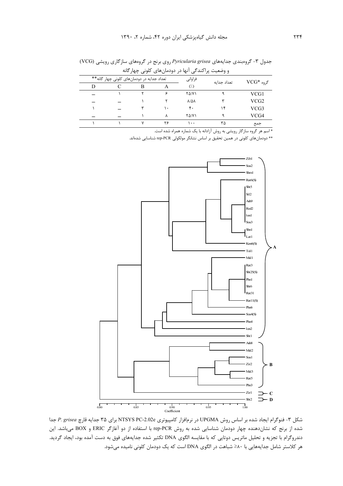| و وصعیت پر اسد ہے ،بھا در دودمان، ای تلویی چھار تابه |                                            |  |    |                         |             |                       |
|------------------------------------------------------|--------------------------------------------|--|----|-------------------------|-------------|-----------------------|
|                                                      | تعداد جدایه در دودمانهای کلونی چهار گانه** |  |    | فراواني                 | تعداد جداىه | $\mathrm{VCG}^*$ گروه |
|                                                      |                                            |  |    | (1)                     |             |                       |
|                                                      |                                            |  |    | <b>TA/V)</b>            |             | VCG1                  |
|                                                      |                                            |  |    | $\lambda/\Delta\lambda$ |             | VCG <sub>2</sub>      |
|                                                      |                                            |  | ٠. | ۴٠                      | ۱۴          | VCG3                  |
|                                                      |                                            |  |    | <b>TA/V)</b>            |             | VCG4                  |
|                                                      |                                            |  | ۲۶ | ۰۰۱                     | ٣۵          | جمع                   |

جدول ۳- گروهبندی جدایههای Pyricularia grisea روی برنج در گروههای سازگاری رویشی (VCG) ضعيت باكندمج أزوا در دودوانهاي كاوز جواعلاه

\* اسم هر گروه سازگار رویشی به روش آزادانه با یک شماره همراه شده است.

\*\* دودمانهای کلونی در همین تحقیق بر اساس نشانگر مولکولی rep-PCR شناسایی شدهاند.



شکل ۳- فنوگرام ایجاد شده بر اساس روش UPGMA در نرمافزار کامپیوتری NTSYS PC-2.02e برای ۳۵ جدایه قارچ P. grisea جدا شده از برنج که نشاندهنده چهار دودمان شناسایی شده به روش rep-PCR با استفاده از دو آغازگر ERIC و BOX میباشد. این دندروگرام با تجزیه و تحلیل ماتریس دوتایی که با مقایسه الگوی DNA تکثیر شده جدایههای فوق به دست آمده بود، ایجاد گردید. هر کلاستر شامل جدایههایی با ۵۰≤ شباهت در الگوی DNA است که یک دودمان کلونی نامیده میشود.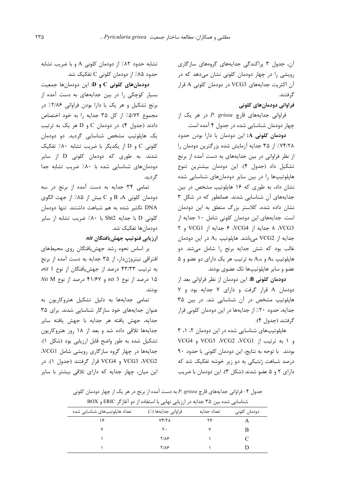آن، جدول ۳ پراکندگی جدایههای گروههای سازگاری رویشی را در چهار دودمان کلونی نشان میدهد که در آن اکثریت جدایههای VCG3 در دودمان کلونی A قرار گ فتند.

### فراوانی دودمانهای کلونی

فراوانی جدایههای قارچ P. grisea در هر یک از چهار دودمان شناسایی شده در جدول ۴ آمده است.

**دودمان کلونی A:** این دودمان با دارا بودن حدود ۷۴/۲۸٪ از ۳۵ جدایه آزمایش شده بزرگترین دودمان را از نظر فراوانی در بین جدایههای به دست آمده از برنج تشکیل داد (جدول ۴). این دودمان بیشترین تنوع هاپلوتیپها را در بین سایر دودمانهای شناسایی شده نشان داد، به طوری که ۱۶ هاپلوتیپ مشخص در بین جدایههای آن شناسایی شدند. همانطور که در شکل ۳ نشان داده شده، کلاستر بزرگ متعلق به این دودمان است. جدایههای این دودمان کلونی شامل ۱۰ جدایه از VCG3، ٨ جدايه از VCG4، ۶ جدايه از VCG1 و ٢ جدایه از VCG2 میباشد. هایلوتیپ A<sub>5</sub> در این دودمان غالب بود که شش جدایه برنج را شامل میشد. دو  $A_6$  هاپلوتیپ  $A_6$  و  $A_{10}$  به ترتیب هر یک دارای دو عضو و عضو و سایر هایلوتیپها تک عضوی بودند.

دودمان كلونى B: اين دودمان از نظر فراواني بعد از دودمان A قرار گرفت و دارای ۷ جدایه بود و ۷ هایلوتیپ مشخص در آن شناسایی شد. در بین ۳۵ جدایه، حدود ۲۰٪ از جدایهها در این دودمان کلونی قرار گرفتند (جدول ۴).

هاپلوتیپهای شناسایی شده در این دودمان ۲، ۱، ۳ و ۱ به ترتیب از VCG3 ،VCG2 ،VCG1 و VCG4 بودند. با توجه به نتایج، این دودمان کلونی با حدود ۹۰ درصد شباهت ژنتیکی به دو زیر خوشه تفکیک شد که دارای ۲ و ۵ عضو شدند (شکل ۳). این دودمان با ضریب

تشابه حدود ۸۲٪ از دودمان کلونی A و با ضریب تشابه حدود ۸۵٪ از دودمان کلونی C تفکیک شد.

دودمانهای کلونی  $\mathbf C$  و  $\mathbf C$ : این دودمانها جمعیت بسیار کوچکی را در بین جدایههای به دست آمده از برنج تشکیل و هر یک با دارا بودن فراوانی ۲/۸۶٪ در مجموع ۵/۷۲٪ از کل ۳۵ جدایه را به خود اختصاص دادند (جدول ۴). در دودمان C و D هر یک به ترتیب یک هاپلوتیپ مشخص شناسایی گردید. دو دودمان کلونی C و D از یکدیگر با ضریب تشابه ۸۰٪ تفکیک شدند. به طوری که دودمان کلونی D از سایر دودمانهای شناسایی شده با ۸۰٪ ضریب تشابه جدا گر ديد.

تمامی ۳۴ جدایه به دست آمده از برنج در سه دودمان كلوني B ،A و C بيش از ۸۵٪ از جهت الگوي DNA تكثير شده به هم شباهت داشتند. تنها دودمان كلونى D با جدايه Sht2 با ٨٠٪ ضريب تشابه از ساير دودمانها تفکیک شد.

ارزیابی فنوتیپ جهش یافتگان nit

بر اساس نحوه رشد جهش یافتگان روی محیطهای افتراقی نیتروژندار، از ۳۵ جدایه به دست آمده از برنج به ترتیب ۴۳/۳۳ درصد از جهشیافتگان از نوع *nit* 1  $Nit$   $M$  درصد از نوع nit 3 و ۴۱/۶۷ درصد از نوع Nit M بودند.

تمامی جدایهها به دلیل تشکیل هتروکاریون به عنوان جدایههای خود سازگار شناسایی شدند. برای ۳۵ جدايه، جهش يافته هر جدايه با جهش يافته ساير جدایهها تلاقی داده شد و بعد از ۱۸ روز هتروکاریون تشکیل شده به طور واضح قابل ارزیابی بود (شکل ۱). جدایهها در چهار گروه سازگاری رویشی شامل VCG1، VCG3 ،VCG2 و VCG4 قرار گرفتند (جدول ١). در این میان، چهار جدایه که دارای تلاقی بیشتر با سایر

جدول ۴- فراوانی جدایههای قارچ P. grisea به دست آمده از برنج در هر یک از چهار دودمان کلونی

| شناسایی شده بین ۳۵ جدایه در ارزیابی نهایی با استفاده از دو آغازگر ERIC و BOX |                     |             |              |  |  |
|------------------------------------------------------------------------------|---------------------|-------------|--------------|--|--|
| تعداد هاپلوتیپهای شناسایی شده                                                | فراوانی جدایهها (٪) | تعداد حداىه | دودمان كلونى |  |  |
|                                                                              | Yf/Y                | ۲۶          |              |  |  |
|                                                                              | ۲۰                  |             |              |  |  |
|                                                                              | <b>TIAS</b>         |             | €            |  |  |
|                                                                              | ۲/۸۶                |             |              |  |  |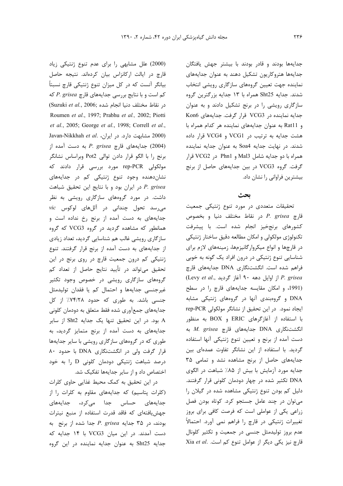جدایهها بودند و قادر بودند با بیشتر جهش یافتگان جدایهها هتروکاریون تشکیل دهند به عنوان جدایههای نماينده جهت تعيين گروههاي سازگاري رويشي انتخاب شدند. جدایه Sht25 همراه با ۱۳ جدایه بزرگترین گروه سازگاری رویشی را در برنج تشکیل دادند و به عنوان جدایه نماینده در VCG3 قرار گرفت. جدایههای Kon6 و Ratl1 به عنوان جدایههای نماینده هر کدام همراه با هشت جدایه به ترتیب در VCG1 و VCG4 قرار داده شدند. در نهایت جدایه Soa4 به عنوان جدایه نماینده همراه با دو جدایه شامل Mal3 و Phn1 در VCG2 قرار گرفت. گروه VCG3 در بين جدايههاي حاصل از برنج بیشترین فراوانی را نشان داد.

## يحث

تحقیقات متعددی در مورد تنوع ژنتیکی جمعیت قارچ P. grisea در نقاط مختلف دنیا و بخصوص كشورهاى برنجخيز انجام شده است. با پيشرفت تکنولوژی مولکولی و امکان مطالعه دقیق ساختار ژنتیکی در قارچها و انواع میکروارگانیزمها، زمینههای لازم برای شناسایی تنوع ژنتیکی در درون افراد یک گونه به خوبی فراهم شده است. انگشتنگاری DNA جدایههای قارچ (Levy et al., از اوایل دهه ۹۰ آغاز گردید) P. grisea (1991، و امكان مقايسه جدايههاى قارچ را در سطح DNA و گروهبندی آنها در گروههای ژنتیکی مشابه ايجاد نمود. در اين تحقيق از نشانگر مولكولي rep-PCR با استفاده از آغازگرهای ERIC و BOX به منظور به DNA به DNA جدايههاى قارچ M. grisea به دست آمده از برنج و تعیین تنوع ژنتیکی آنها استفاده گردید. با استفاده از این نشانگر تفاوت عمدهای بین جدایههای حاصل از برنج مشاهده نشد و تمامی ۳۵ جدایه مورد آزمایش با بیش از ۸۵٪ شباهت در الگوی DNA تکثیر شده در چهار دودمان کلونی قرار گرفتند. دلیل کم بودن تنوع ژنتیکی مشاهده شده در گیلان را می توان در چند عامل جستجو کرد. کوتاه بودن فصل زراعی یکی از عواملی است که فرصت کافی برای بروز تغییرات ژنتیکی در قارچ را فراهم نمی آورد. احتمالاً عدم بروز تولیدمثل جنسی در جمعیت و تکثیر کلونال Xia et al. اقارچ نیز یکی دیگر از عوامل تنوع کم است.

(2000) علل مشابهى را براى عدم تنوع ژنتيكى زياد قارچ در ایالت ارکانزاس بیان کردهاند. نتیجه حاصل بیانگر آنست که در کل میزان تنوع ژنتیکی قارچ نسبتاً  $P. grisea$  که است و با نتایج بررسی جدایههای قارچ (Suzuki et al., 2006; شده) (Suzuki et al., 2006; Roumen et al., 1997; Prabhu et al., 2002; Piotti et al., 2005; George et al., 1998; Correll et al., Javan-Nikkhah et al. در ايران، Javan-Nikkhah et al. به دست آمده از P. grisea جدایههای قارچ) برنج را با الگو قرار دادن توالی Pot2 وبراساس نشانگر مولکولی rep-PCR مورد بررسی قرار دادند که نشان دهنده وجود تنوع ژنتیکی کم در جدایههای P. grisea در ایران بود و با نتایج این تحقیق شباهت داشت. در مورد گروههای سازگاری رویشی به نظر میرسد تحول چندانی در آللهای لوکوس vic جدایههای به دست آمده از برنج رخ نداده است و همانطور که مشاهده گردید در گروه VCG3 که گروه سازگاری رویشی غالب هم شناسایی گردید، تعداد زیادی از جدایههای به دست آمده از برنج قرار گرفتند. تنوع ژنتیکی کم درون جمعیت قارچ در روی برنج در این تحقیق میتواند در تأیید نتایج حاصل از تعداد کم گروههای سازگاری رویشی در خصوص وجود تکثیر غیرجنسی جدایهها و احتمال کم یا فقدان تولیدمثل جنسی باشد. به طوری که حدود ۷۴/۲۸٪ از کل جدايههاي جمعآوري شده فقط متعلق به دودمان كلوني A بود. در این تحقیق تنها یک جدایه Sht2 از سایر جدایههای به دست آمده از برنج متمایز گردید، به طوری که در گروههای سازگاری رویشی با سایر جدایهها قرار گرفت ولی در انگشتنگاری DNA با حدود ۸۰ درصد شباهت ژنتیکی دودمان کلونی D را به خود اختصاص داد و از سایر جدایهها تفکیک شد.

در این تحقیق به کمک محیط غذایی حاوی کلرات (کلرات پتاسیم) که جدایههای مقاوم به کلرات را از جدایههای حساس جدا مے،کرد، جدایههای جهش یافتهای که فاقد قدرت استفاده از منبع نیترات بودند، در ۳۵ جدایه P. grisea جدا شده از برنج به دست آمدند. در این میان VCG3 با ۱۴ جدایه که جدایه Sht25 به عنوان جدایه نماینده در این گروه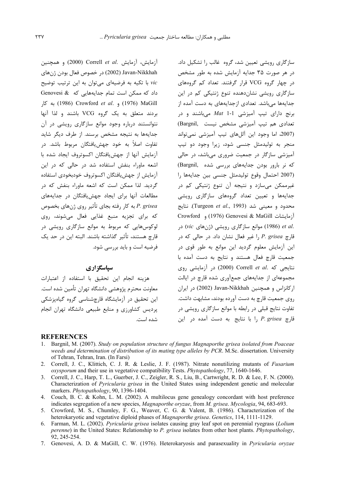آزمايش، آزمايش .Correll et al (2000) و همچنين Javan-Nikkhah (2002) در خصوص فعال بودن ژنهای vic با تکیه به فرضیهای میتوان به این ترتیب توضیح داد که ممکن است تمام جدایههایی که Genovesi & به كار (1976) و Crowford et al. (1976) MaGill بردند متعلق به یک گروه VCG باشند و لذا آنها نتوانستند درباره وجود موانع سازگاری رویشی در آن جدایهها به نتیجه مشخص برسند. از طرف دیگر شاید تفاوت اصلاً به خود جهشءافتگان مربوط باشد. در آزمايش آنها از جهش يافتگان اكسوتروف ايجاد شده با اشعه ماوراء بنفش استفاده شد در حالی که در این آزمايش از جهش بافتگان اكسوتروف خودبخودي استفاده گردید. لذا ممکن است که اشعه ماوراء بنفش که در مطالعات آنها برای ایجاد جهشیافتگان در جدایههای P. grisea به كار رفته بجاي تأثير روي ژنهاي بخصوص كه براي تجزيه منبع غذايي فعال مى شوند، روى لوکوس هایی که مربوط به موانع سازگاری رویشی در قارچ هستند، تأثیر گذاشته باشند. البته این در حد یک فرضیه است و باید بررسی شود.

#### سیاسگز اری

هزينه انجام اين تحقيق با استفاده از اعتبارات معاونت محترم پژوهشی دانشگاه تهران تأمین شده است. این تحقیق در آزمایشگاه قارچشناسی گروه گیاهیزشکی پردیس کشاورزی و منابع طبیعی دانشگاه تهران انجام شده است.

سازگاری رویشی تعیین شد، گروه غالب را تشکیل داد. در هر صورت ۳۵ جدایه آزمایش شده به طور مشخص در چهار گروه VCG قرار گرفتند. تعداد کم گروههای سازگاری رویشی نشاندهنده تنوع ژنتیکی کم در این جدایهها میباشد. تعدادی ازجدایههای به دست آمده از برنج دارای تیپ آمیزشی 1-1 Mat میباشند و در تعدادی هم تیپ آمیزشی مشخص نیست .(Bargnil) (2007، اما وجود این آللهای تیپ آمیزشی نمی تواند منجر به تولیدمثل جنسی شود، زیرا وجود دو تیپ آمیزشی سازگار در جمعیت ضروری میباشد، در حالی که نر بارور بودن جدایههای بررسی شده (Bargnil, (2007 احتمال وقوع توليدمثل جنسى بين جدايهها را غیرممکن میسازد و نتیجه آن تنوع ژنتیکی کم در جدایهها و تعیین تعداد گروههای سازگاری رویشی محدود و معینی شد (Turgeon et al., 1993). نتایج Crowford و 1976) Genovesi & MaGill و در (1986) موانع سازگاری رویشی (ژنهای vic) در قارچ P. grisea را غیر فعال نشان داد. در حالی که در این آزمایش معلوم گردید این موانع به طور قوی در جمعیت قارچ فعال هستند و نتایج به دست آمده با نتايجى كه .Correll et al (2000) در آزمايشى روى مجموعهای از جدایههای جمعآوری شده قارچ در ایالت ار کانزاس و همچنین Javan-Nikkhah (2002) در ایران روی جمعیت قارچ به دست آورده بودند، مشابهت داشت. تفاوت نتایج قبلی در رابطه با موانع سازگاری رویشی در  $\therefore$  قارچ el, P. grisea أبا نتايج به دست آمده در اين

#### **REFERENCES**

- 1. Bargnil, M. (2007). Study on population structure of fungus Magnaporthe grisea isolated from Poaceae weeds and determination of distribution of its mating type alleles by PCR. M.Sc. dissertation. University of Tehran, Tehran, Iran. (In Farsi)
- 2. Correll, J. C., Klittich, C. J. R. & Leslie, J. F. (1987). Nitrate nonutilizing mutants of *Fusarium oxysporum* and their use in vegetative compatibility Tests. *Phytopathology*, 77, 1640-1646.
- 3. Correll, J. C., Harp, T. L., Guerber, J. C., Zeigler, R. S., Liu, B., Cartwright, R. D. & Lee, F. N. (2000). Characterization of *Pyricularia grisea* in the United States using independent genetic and molecular markers. Phytopathology, 90, 1396-1404.
- 4. Couch, B. C. & Kohn, L. M. (2002). A multilocus gene genealogy concordant with host preference indicates segregation of a new species, Magnaporthe oryzae, from M. grisea. Mycologia, 94, 683-693.
- 5. Crowford, M. S., Chumley, F. G., Weaver, C. G. & Valent, B. (1986). Characterization of the heterokaryotic and vegetative diploid phases of Magnaporthe grisea. Genetics, 114, 1111-1129.
- 6. Farman, M. L. (2002). Pyricularia grisea isolates causing gray leaf spot on perennial ryegrass (Lolium perenne) in the United States: Relationship to P. grisea isolates from other host plants. Phytopathology, 92, 245-254.
- 7. Genovesi, A. D. & MaGill, C. W. (1976). Heterokaryosis and parasexuality in *Pyricularia oryzae*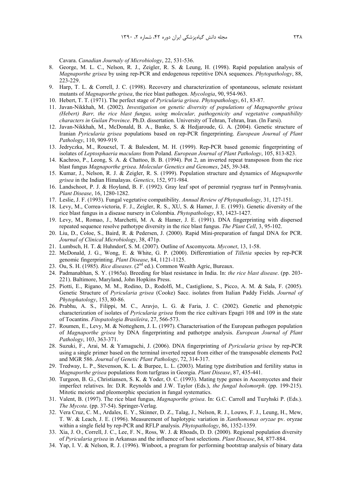Cavara. *Canadian Journaly of Microbiology*, 22, 531-536.

- 8. George, M. L. C., Nelson, R. J., Zeigler, R. S. & Leung, H. (1998). Rapid population analysis of *Magnaporthe grisea* by using rep-PCR and endogenous repetitive DNA sequences. *Phytopathology*, 88, 223-229.
- 9. Harp, T. L. & Correll, J. C. (1998). Recovery and characterization of spontaneous, selenate resistant mutants of *Magnaporthe grisea*, the rice blast pathogen. *Mycologia*, 90, 954-963.
- 10. Hebert, T. T. (1971). The perfect stage of *Pyricularia grisea*. *Phytopathology*, 61, 83-87.
- 11. Javan-Nikkhah, M. (2002). *Investigation on genetic diversity of populations of Magnaporthe grisea (Hebert) Barr, the rice blast fungus, using molecular, pathogenicity and vegetative compatibility characters in Guilan Province*. Ph.D. dissertation. University of Tehran, Tehran, Iran. (In Farsi).
- 12. Javan-Nikkhah, M., McDonald, B. A., Banke, S. & Hedjaroude, G. A. (2004). Genetic structure of Iranian *Pyricularia grisea* populations based on rep-PCR fingerprinting. *European Journal of Plant Pathology*, 110, 909-919.
- 13. Jedryczka, M., Rouexel, T. & Balesdent, M. H. (1999). Rep-PCR based genomic fingerprinting of isolates of *Leptosphaeria maculans* from Poland. *European Journal of Plant Pathology*, 105, 813-823.
- 14. Kachroo, P., Leong, S. A. & Chattoo, B. B. (1994). Pot 2, an inverted repeat transposon from the rice blast fungus *Magnaporthe grisea*. *Molecular Genetics and Genomes*, 245, 39-348.
- 15. Kumar, J., Nelson, R. J. & Zeigler, R. S. (1999). Population structure and dynamics of *Magnaporthe grisea* in the Indian Himalayas. *Genetics*, 152, 971-984.
- 16. Landschoot, P. J. & Hoyland, B. F. (1992). Gray leaf spot of perennial ryegrass turf in Pennsylvania. *Plant Disease*, 16, 1280-1282.
- 17. Leslie, J. F. (1993). Fungal vegetative compatibility. *Annual Review of Phytopathology*, 31, 127-151.
- 18. Levy, M., Correa-victoria, F. J., Zeigler, R. S., XU, S. & Hamer, J. E. (1993). Genetic diversity of the rice blast fungus in a disease nursery in Colombia. *Phytopathology*, 83, 1423-1427.
- 19. Levy, M., Romao, J., Marchetti, M. A. & Hamer, J. E. (1991). DNA fingerprinting with dispersed repeated sequence resolve pathotype diversity in the rice blast fungus. *The Plant Cell*, 3, 95-102.
- 20. Liu, D., Coloe, S., Baird, R. & Pedersen, J. (2000). Rapid Mini-preparation of fungal DNA for PCR. *Journal of Clinical Microbiology*, 38, 471p.
- 21. Lumbsch, H. T. & Huhndorf, S. M. (2007). Outline of Ascomycota. *Myconet*, 13, 1-58.
- 22. McDonald, J. G., Wong, E. & White, G. P. (2000). Differentiation of *Tilletia* species by rep-PCR genomic fingerprinting. *Plant Disease*, 84, 1121-1125.
- 23. Ou, S. H. (1985). *Rice diseases*. (2nd ed.). Common Wealth Agric, Bureaux.
- 24. Padmanabhan, S. Y. (1965a). Breeding for blast resistance in India. In: *the rice blast disease*. (pp. 203- 221). Baltimore, Maryland, John Hopkins Press.
- 25. Piotti, E., Rigano, M. M., Rodino, D., Rodolfi, M., Castiglione, S., Picco, A. M. & Sala, F. (2005). Genetic Structure of *Pyricularia grisea* (Cooke) Sacc. isolates from Italian Paddy Fields. *Journal of Phytophatology*, 153, 80-86.
- 26. Prabhu, A. S., Filippi, M. C., Aravjo, L. G. & Faria, J. C. (2002). Genetic and phenotypic characterization of isolates of *Pyricularia grisea* from the rice cultivars Epagri 108 and 109 in the state of Tocantins. *Fitopatologia Brasileira*, 27, 566-573.
- 27. Roumen, E., Levy, M. & Notteghem, J. L. (1997). Characterisation of the European pathogen population of *Magnaporthe grisea* by DNA fingerprinting and pathotype analysis. *European Journal of Plant Pathology*, 103, 363-371.
- 28. Suzuki, F., Arai, M. & Yamaguchi, J. (2006). DNA fingerprinting of *Pyricularia grisea* by rep-PCR using a single primer based on the terminal inverted repeat from either of the transposable elements Pot2 and MGR 586. *Journal of Genetic Plant Pathology*, 72, 314-317.
- 29. Tredway, L. P., Stevenson, K. L. & Burpee, L. L. (2003). Mating type distribution and fertility status in *Magnaporthe grisea* populations from turfgrass in Georgia. *Plant Disease*, 87, 435-441.
- 30. Turgeon, B. G., Christiansen, S. K. & Yoder, O. C. (1993). Mating type genes in Ascomycetes and their imperfect relatives. In: D.R. Reynolds and J.W. Taylor (Eds.), *the fungal holomorph*. (pp. 199-215). Mitotic meiotic and pleomorphic speciation in fungal systematics.
- 31. Valent, B. (1997). The rice blast fungus, *Magnaporthe grisea*. In: G.C. Carroll and Tuzyhski P. (Eds.). *The Mycota*. (pp. 37-54). Springer-Verlag.
- 32. Vera Cruz, C. M., Ardales, E. Y., Skinner, D. Z., Talag, J., Nelson, R. J., Louws, F. J., Leung, H., Mew, T. W. & Leach, J. E. (1996). Measurement of haplotypic variation in *Xanthomonas oryzae* pv. oryzae within a single field by rep-PCR and RFLP analysis. *Phytopathology*, 86, 1352-1359.
- 33. Xia, J. O., Correll, J. C., Lee, F. N., Ross, W. J. & Rhoads, D. D. (2000). Regional population diversity of *Pyricularia grisea* in Arkansas and the influence of host selections. *Plant Disease*, 84, 877-884.
- 34. Yap, I. V. & Nelson, R. J. (1996). Winboot, a program for performing bootstrap analysis of binary data